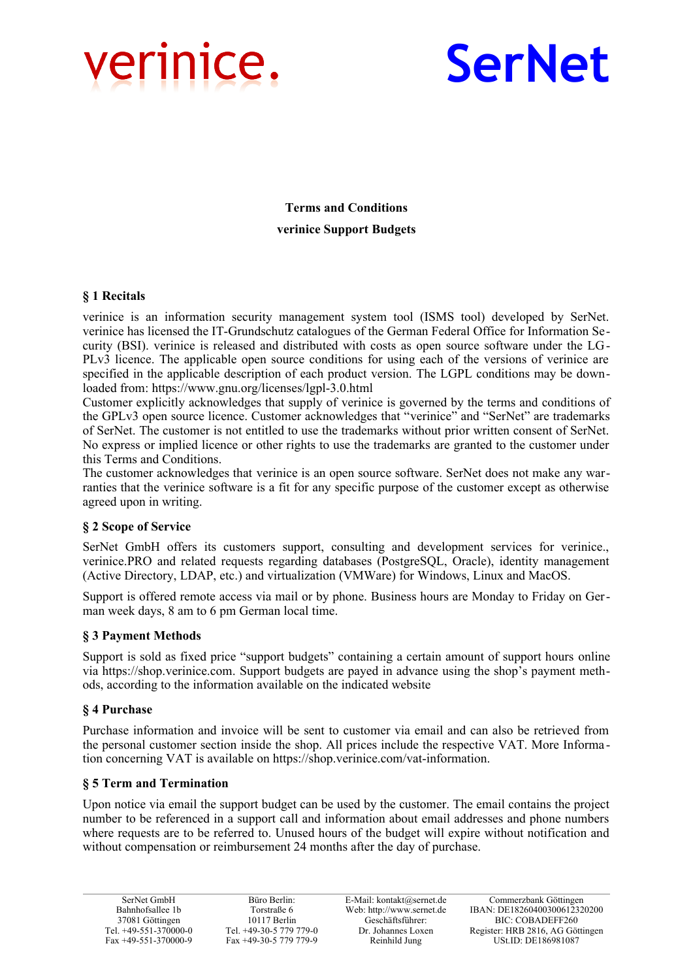



**Terms and Conditions verinice Support Budgets**

## **§ 1 Recitals**

verinice is an information security management system tool (ISMS tool) developed by SerNet. verinice has licensed the IT-Grundschutz catalogues of the German Federal Office for Information Security (BSI). verinice is released and distributed with costs as open source software under the LG-PLv3 licence. The applicable open source conditions for using each of the versions of verinice are specified in the applicable description of each product version. The LGPL conditions may be downloaded from: https://www.gnu.org/licenses/lgpl-3.0.html

Customer explicitly acknowledges that supply of verinice is governed by the terms and conditions of the GPLv3 open source licence. Customer acknowledges that "verinice" and "SerNet" are trademarks of SerNet. The customer is not entitled to use the trademarks without prior written consent of SerNet. No express or implied licence or other rights to use the trademarks are granted to the customer under this Terms and Conditions.

The customer acknowledges that verinice is an open source software. SerNet does not make any warranties that the verinice software is a fit for any specific purpose of the customer except as otherwise agreed upon in writing.

# **§ 2 Scope of Service**

SerNet GmbH offers its customers support, consulting and development services for verinice., verinice.PRO and related requests regarding databases (PostgreSQL, Oracle), identity management (Active Directory, LDAP, etc.) and virtualization (VMWare) for Windows, Linux and MacOS.

Support is offered remote access via mail or by phone. Business hours are Monday to Friday on German week days, 8 am to 6 pm German local time.

### **§ 3 Payment Methods**

Support is sold as fixed price "support budgets" containing a certain amount of support hours online via https://shop.verinice.com. Support budgets are payed in advance using the shop's payment methods, according to the information available on the indicated website

### **§ 4 Purchase**

Purchase information and invoice will be sent to customer via email and can also be retrieved from the personal customer section inside the shop. All prices include the respective VAT. More Informa tion concerning VAT is available on https://shop.verinice.com/vat-information.

### **§ 5 Term and Termination**

Upon notice via email the support budget can be used by the customer. The email contains the project number to be referenced in a support call and information about email addresses and phone numbers where requests are to be referred to. Unused hours of the budget will expire without notification and without compensation or reimbursement 24 months after the day of purchase.

Büro Berlin: Torstraße 6 10117 Berlin Tel. +49-30-5 779 779-0 Fax +49-30-5 779 779-9

E-Mail: kontakt@sernet.de Web: http://www.sernet.de Geschäftsführer: Dr. Johannes Loxen Reinhild Jung